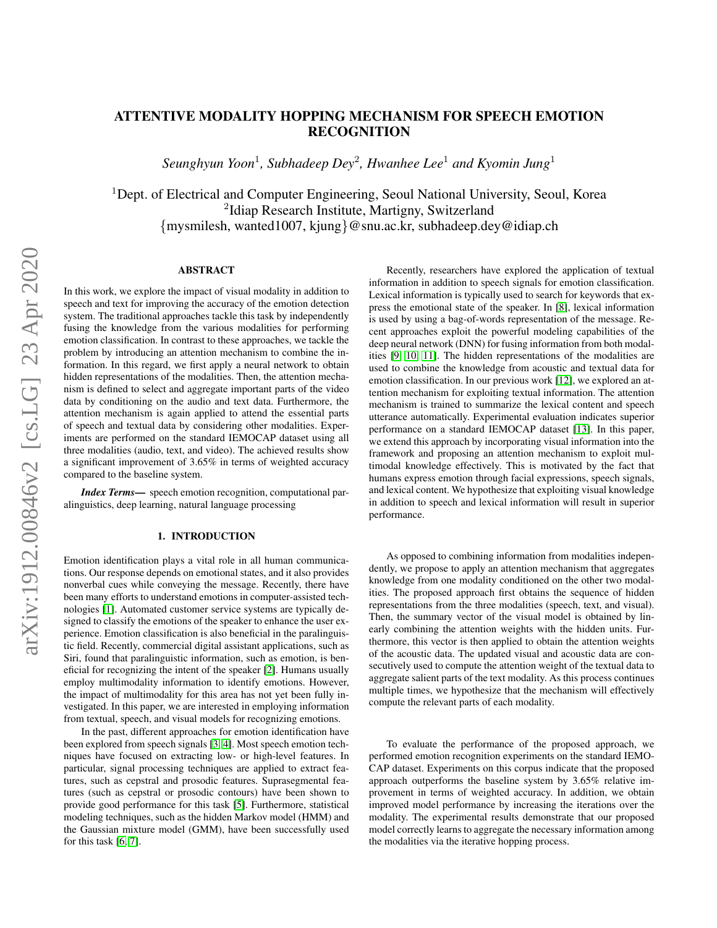## ATTENTIVE MODALITY HOPPING MECHANISM FOR SPEECH EMOTION RECOGNITION

*Seunghyun Yoon*<sup>1</sup> *, Subhadeep Dey*<sup>2</sup> *, Hwanhee Lee*<sup>1</sup> *and Kyomin Jung*<sup>1</sup>

 $1$ Dept. of Electrical and Computer Engineering, Seoul National University, Seoul, Korea <sup>2</sup>Idiap Research Institute, Martigny, Switzerland {mysmilesh, wanted1007, kjung}@snu.ac.kr, subhadeep.dey@idiap.ch

## ABSTRACT

In this work, we explore the impact of visual modality in addition to speech and text for improving the accuracy of the emotion detection system. The traditional approaches tackle this task by independently fusing the knowledge from the various modalities for performing emotion classification. In contrast to these approaches, we tackle the problem by introducing an attention mechanism to combine the information. In this regard, we first apply a neural network to obtain hidden representations of the modalities. Then, the attention mechanism is defined to select and aggregate important parts of the video data by conditioning on the audio and text data. Furthermore, the attention mechanism is again applied to attend the essential parts of speech and textual data by considering other modalities. Experiments are performed on the standard IEMOCAP dataset using all three modalities (audio, text, and video). The achieved results show a significant improvement of 3.65% in terms of weighted accuracy compared to the baseline system.

*Index Terms—* speech emotion recognition, computational paralinguistics, deep learning, natural language processing

## 1. INTRODUCTION

Emotion identification plays a vital role in all human communications. Our response depends on emotional states, and it also provides nonverbal cues while conveying the message. Recently, there have been many efforts to understand emotions in computer-assisted technologies [\[1\]](#page-4-0). Automated customer service systems are typically designed to classify the emotions of the speaker to enhance the user experience. Emotion classification is also beneficial in the paralinguistic field. Recently, commercial digital assistant applications, such as Siri, found that paralinguistic information, such as emotion, is beneficial for recognizing the intent of the speaker [\[2\]](#page-4-1). Humans usually employ multimodality information to identify emotions. However, the impact of multimodality for this area has not yet been fully investigated. In this paper, we are interested in employing information from textual, speech, and visual models for recognizing emotions.

In the past, different approaches for emotion identification have been explored from speech signals [\[3,](#page-4-2) [4\]](#page-4-3). Most speech emotion techniques have focused on extracting low- or high-level features. In particular, signal processing techniques are applied to extract features, such as cepstral and prosodic features. Suprasegmental features (such as cepstral or prosodic contours) have been shown to provide good performance for this task [\[5\]](#page-4-4). Furthermore, statistical modeling techniques, such as the hidden Markov model (HMM) and the Gaussian mixture model (GMM), have been successfully used for this task [\[6,](#page-4-5) [7\]](#page-4-6).

Recently, researchers have explored the application of textual information in addition to speech signals for emotion classification. Lexical information is typically used to search for keywords that express the emotional state of the speaker. In [\[8\]](#page-4-7), lexical information is used by using a bag-of-words representation of the message. Recent approaches exploit the powerful modeling capabilities of the deep neural network (DNN) for fusing information from both modalities [\[9,](#page-4-8) [10,](#page-4-9) [11\]](#page-4-10). The hidden representations of the modalities are used to combine the knowledge from acoustic and textual data for emotion classification. In our previous work [\[12\]](#page-4-11), we explored an attention mechanism for exploiting textual information. The attention mechanism is trained to summarize the lexical content and speech utterance automatically. Experimental evaluation indicates superior performance on a standard IEMOCAP dataset [\[13\]](#page-4-12). In this paper, we extend this approach by incorporating visual information into the framework and proposing an attention mechanism to exploit multimodal knowledge effectively. This is motivated by the fact that humans express emotion through facial expressions, speech signals, and lexical content. We hypothesize that exploiting visual knowledge in addition to speech and lexical information will result in superior performance.

As opposed to combining information from modalities independently, we propose to apply an attention mechanism that aggregates knowledge from one modality conditioned on the other two modalities. The proposed approach first obtains the sequence of hidden representations from the three modalities (speech, text, and visual). Then, the summary vector of the visual model is obtained by linearly combining the attention weights with the hidden units. Furthermore, this vector is then applied to obtain the attention weights of the acoustic data. The updated visual and acoustic data are consecutively used to compute the attention weight of the textual data to aggregate salient parts of the text modality. As this process continues multiple times, we hypothesize that the mechanism will effectively compute the relevant parts of each modality.

To evaluate the performance of the proposed approach, we performed emotion recognition experiments on the standard IEMO-CAP dataset. Experiments on this corpus indicate that the proposed approach outperforms the baseline system by 3.65% relative improvement in terms of weighted accuracy. In addition, we obtain improved model performance by increasing the iterations over the modality. The experimental results demonstrate that our proposed model correctly learns to aggregate the necessary information among the modalities via the iterative hopping process.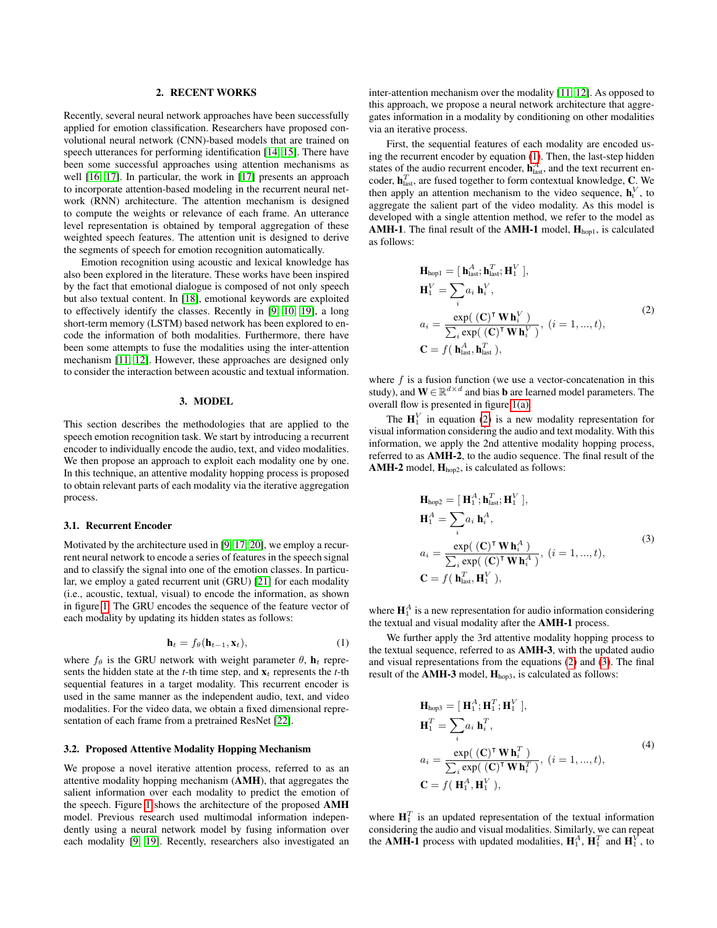### 2. RECENT WORKS

Recently, several neural network approaches have been successfully applied for emotion classification. Researchers have proposed convolutional neural network (CNN)-based models that are trained on speech utterances for performing identification [\[14,](#page-4-13) [15\]](#page-4-14). There have been some successful approaches using attention mechanisms as well [\[16,](#page-4-15) [17\]](#page-4-16). In particular, the work in [\[17\]](#page-4-16) presents an approach to incorporate attention-based modeling in the recurrent neural network (RNN) architecture. The attention mechanism is designed to compute the weights or relevance of each frame. An utterance level representation is obtained by temporal aggregation of these weighted speech features. The attention unit is designed to derive the segments of speech for emotion recognition automatically.

Emotion recognition using acoustic and lexical knowledge has also been explored in the literature. These works have been inspired by the fact that emotional dialogue is composed of not only speech but also textual content. In [\[18\]](#page-4-17), emotional keywords are exploited to effectively identify the classes. Recently in [\[9,](#page-4-8) [10,](#page-4-9) [19\]](#page-4-18), a long short-term memory (LSTM) based network has been explored to encode the information of both modalities. Furthermore, there have been some attempts to fuse the modalities using the inter-attention mechanism [\[11,](#page-4-10) [12\]](#page-4-11). However, these approaches are designed only to consider the interaction between acoustic and textual information.

#### 3. MODEL

This section describes the methodologies that are applied to the speech emotion recognition task. We start by introducing a recurrent encoder to individually encode the audio, text, and video modalities. We then propose an approach to exploit each modality one by one. In this technique, an attentive modality hopping process is proposed to obtain relevant parts of each modality via the iterative aggregation process.

#### 3.1. Recurrent Encoder

Motivated by the architecture used in [\[9,](#page-4-8) [17,](#page-4-16) [20\]](#page-4-19), we employ a recurrent neural network to encode a series of features in the speech signal and to classify the signal into one of the emotion classes. In particular, we employ a gated recurrent unit (GRU) [\[21\]](#page-4-20) for each modality (i.e., acoustic, textual, visual) to encode the information, as shown in figure [1.](#page-2-0) The GRU encodes the sequence of the feature vector of each modality by updating its hidden states as follows:

<span id="page-1-0"></span>
$$
\mathbf{h}_t = f_\theta(\mathbf{h}_{t-1}, \mathbf{x}_t), \tag{1}
$$

where  $f_{\theta}$  is the GRU network with weight parameter  $\theta$ ,  $\mathbf{h}_t$  represents the hidden state at the  $t$ -th time step, and  $\mathbf{x}_t$  represents the  $t$ -th sequential features in a target modality. This recurrent encoder is used in the same manner as the independent audio, text, and video modalities. For the video data, we obtain a fixed dimensional representation of each frame from a pretrained ResNet [\[22\]](#page-4-21).

## 3.2. Proposed Attentive Modality Hopping Mechanism

We propose a novel iterative attention process, referred to as an attentive modality hopping mechanism (AMH), that aggregates the salient information over each modality to predict the emotion of the speech. Figure [1](#page-2-0) shows the architecture of the proposed AMH model. Previous research used multimodal information independently using a neural network model by fusing information over each modality [\[9,](#page-4-8) [19\]](#page-4-18). Recently, researchers also investigated an

inter-attention mechanism over the modality [\[11,](#page-4-10) [12\]](#page-4-11). As opposed to this approach, we propose a neural network architecture that aggregates information in a modality by conditioning on other modalities via an iterative process.

First, the sequential features of each modality are encoded using the recurrent encoder by equation [\(1\)](#page-1-0). Then, the last-step hidden states of the audio recurrent encoder,  $\mathbf{h}_{\text{last}}^A$ , and the text recurrent encoder,  $\mathbf{h}_{\text{last}}^T$ , are fused together to form contextual knowledge, C. We then apply an attention mechanism to the video sequence,  $\mathbf{h}_t^V$ , to aggregate the salient part of the video modality. As this model is developed with a single attention method, we refer to the model as AMH-1. The final result of the AMH-1 model,  $H_{hop1}$ , is calculated as follows:

<span id="page-1-1"></span>
$$
\mathbf{H}_{hop1} = [\mathbf{h}_{last}^{A}; \mathbf{h}_{last}^{T}; \mathbf{H}_{1}^{V}],
$$
  
\n
$$
\mathbf{H}_{1}^{V} = \sum_{i} a_{i} \mathbf{h}_{i}^{V},
$$
  
\n
$$
a_{i} = \frac{\exp((\mathbf{C})^{\mathsf{T}} \mathbf{W} \mathbf{h}_{i}^{V})}{\sum_{i} \exp((\mathbf{C})^{\mathsf{T}} \mathbf{W} \mathbf{h}_{i}^{V})}, (i = 1, ..., t),
$$
  
\n
$$
\mathbf{C} = f(\mathbf{h}_{last}^{A}, \mathbf{h}_{last}^{T}),
$$
\n(2)

where  $f$  is a fusion function (we use a vector-concatenation in this study), and  $\mathbf{W} \in \mathbb{R}^{d \times d}$  and bias **b** are learned model parameters. The overall flow is presented in figure [1\(a\).](#page-2-1)

The  $H_1^V$  in equation [\(2\)](#page-1-1) is a new modality representation for visual information considering the audio and text modality. With this information, we apply the 2nd attentive modality hopping process, referred to as AMH-2, to the audio sequence. The final result of the AMH-2 model,  $H_{hop2}$ , is calculated as follows:

<span id="page-1-2"></span>
$$
\mathbf{H}_{\text{hop2}} = [\mathbf{H}_{1}^{A}; \mathbf{h}_{\text{last}}^{T}; \mathbf{H}_{1}^{V}],
$$
  
\n
$$
\mathbf{H}_{1}^{A} = \sum_{i} a_{i} \mathbf{h}_{i}^{A},
$$
  
\n
$$
a_{i} = \frac{\exp((\mathbf{C})^{\mathsf{T}} \mathbf{W} \mathbf{h}_{i}^{A})}{\sum_{i} \exp((\mathbf{C})^{\mathsf{T}} \mathbf{W} \mathbf{h}_{i}^{A})}, (i = 1, ..., t),
$$
  
\n
$$
\mathbf{C} = f(\mathbf{h}_{\text{last}}^{T}, \mathbf{H}_{1}^{V}),
$$
\n(3)

where  $\mathbf{H}_1^A$  is a new representation for audio information considering the textual and visual modality after the AMH-1 process.

We further apply the 3rd attentive modality hopping process to the textual sequence, referred to as AMH-3, with the updated audio and visual representations from the equations [\(2\)](#page-1-1) and [\(3\)](#page-1-2). The final result of the AMH-3 model, Hhop3, is calculated as follows:

<span id="page-1-3"></span>
$$
\mathbf{H}_{\text{hop3}} = [\mathbf{H}_1^A; \mathbf{H}_1^T; \mathbf{H}_1^V],
$$
  
\n
$$
\mathbf{H}_1^T = \sum_i a_i \mathbf{h}_i^T,
$$
  
\n
$$
a_i = \frac{\exp((\mathbf{C})^{\mathsf{T}} \mathbf{W} \mathbf{h}_i^T)}{\sum_i \exp((\mathbf{C})^{\mathsf{T}} \mathbf{W} \mathbf{h}_i^T)}, (i = 1, ..., t),
$$
  
\n
$$
\mathbf{C} = f(\mathbf{H}_1^A, \mathbf{H}_1^V),
$$
\n(4)

where  $\mathbf{H}_1^T$  is an updated representation of the textual information considering the audio and visual modalities. Similarly, we can repeat the **AMH-1** process with updated modalities,  $\mathbf{H}_1^A$ ,  $\mathbf{H}_1^T$  and  $\mathbf{H}_1^V$ , to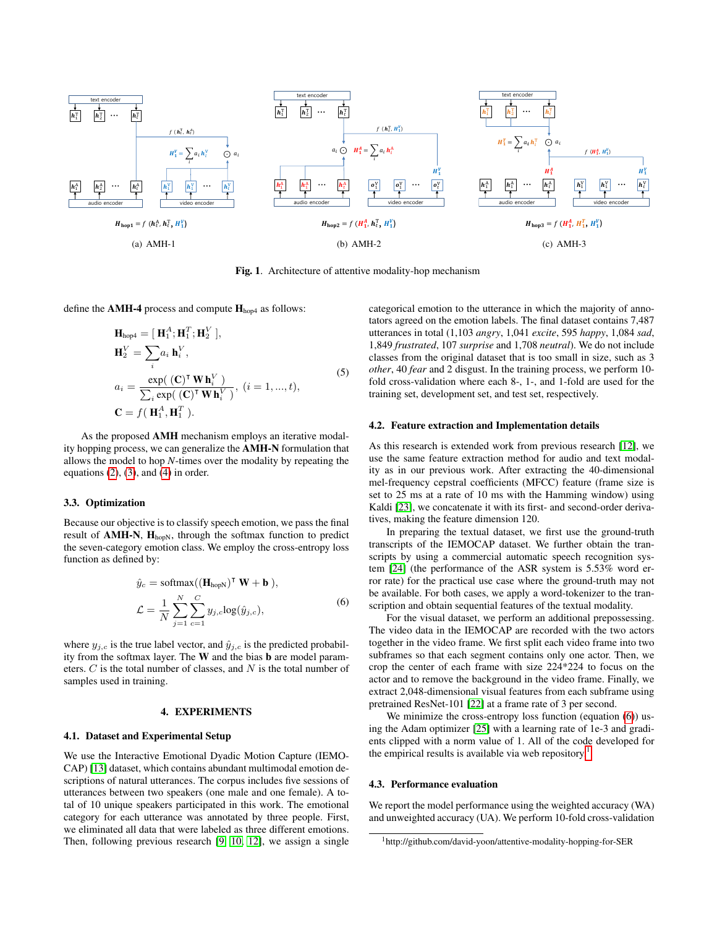<span id="page-2-1"></span>

<span id="page-2-0"></span>Fig. 1. Architecture of attentive modality-hop mechanism

define the AMH-4 process and compute  $H<sub>hop4</sub>$  as follows:

$$
\begin{aligned}\n\mathbf{H}_{\text{hop4}} &= [\mathbf{H}_1^A; \mathbf{H}_1^T; \mathbf{H}_2^V], \\
\mathbf{H}_2^V &= \sum_i a_i \, \mathbf{h}_i^V, \\
a_i &= \frac{\exp((\mathbf{C})^{\mathsf{T}} \mathbf{W} \mathbf{h}_i^V)}{\sum_i \exp((\mathbf{C})^{\mathsf{T}} \mathbf{W} \mathbf{h}_i^V)}, \ (i = 1, ..., t), \\
\mathbf{C} &= f(\mathbf{H}_1^A, \mathbf{H}_1^T).\n\end{aligned} \tag{5}
$$

As the proposed AMH mechanism employs an iterative modality hopping process, we can generalize the AMH-N formulation that allows the model to hop *N*-times over the modality by repeating the equations  $(2)$ ,  $(3)$ , and  $(4)$  in order.

## 3.3. Optimization

Because our objective is to classify speech emotion, we pass the final result of  $AMH-N$ ,  $H<sub>hopN</sub>$ , through the softmax function to predict the seven-category emotion class. We employ the cross-entropy loss function as defined by:

<span id="page-2-2"></span>
$$
\hat{y}_c = \text{softmax}((\mathbf{H}_{\text{hopN}})^{\mathsf{T}} \mathbf{W} + \mathbf{b}),
$$
  
\n
$$
\mathcal{L} = \frac{1}{N} \sum_{j=1}^{N} \sum_{c=1}^{C} y_{j,c} \log(\hat{y}_{j,c}),
$$
\n(6)

where  $y_{j,c}$  is the true label vector, and  $\hat{y}_{j,c}$  is the predicted probability from the softmax layer. The W and the bias b are model parameters.  $C$  is the total number of classes, and  $N$  is the total number of samples used in training.

#### 4. EXPERIMENTS

## 4.1. Dataset and Experimental Setup

We use the Interactive Emotional Dyadic Motion Capture (IEMO-CAP) [\[13\]](#page-4-12) dataset, which contains abundant multimodal emotion descriptions of natural utterances. The corpus includes five sessions of utterances between two speakers (one male and one female). A total of 10 unique speakers participated in this work. The emotional category for each utterance was annotated by three people. First, we eliminated all data that were labeled as three different emotions. Then, following previous research [\[9,](#page-4-8) [10,](#page-4-9) [12\]](#page-4-11), we assign a single

categorical emotion to the utterance in which the majority of annotators agreed on the emotion labels. The final dataset contains 7,487 utterances in total (1,103 *angry*, 1,041 *excite*, 595 *happy*, 1,084 *sad*, 1,849 *frustrated*, 107 *surprise* and 1,708 *neutral*). We do not include classes from the original dataset that is too small in size, such as 3 *other*, 40 *fear* and 2 disgust. In the training process, we perform 10 fold cross-validation where each 8-, 1-, and 1-fold are used for the training set, development set, and test set, respectively.

#### 4.2. Feature extraction and Implementation details

As this research is extended work from previous research [\[12\]](#page-4-11), we use the same feature extraction method for audio and text modality as in our previous work. After extracting the 40-dimensional mel-frequency cepstral coefficients (MFCC) feature (frame size is set to 25 ms at a rate of 10 ms with the Hamming window) using Kaldi [\[23\]](#page-4-22), we concatenate it with its first- and second-order derivatives, making the feature dimension 120.

In preparing the textual dataset, we first use the ground-truth transcripts of the IEMOCAP dataset. We further obtain the transcripts by using a commercial automatic speech recognition system [\[24\]](#page-4-23) (the performance of the ASR system is 5.53% word error rate) for the practical use case where the ground-truth may not be available. For both cases, we apply a word-tokenizer to the transcription and obtain sequential features of the textual modality.

For the visual dataset, we perform an additional prepossessing. The video data in the IEMOCAP are recorded with the two actors together in the video frame. We first split each video frame into two subframes so that each segment contains only one actor. Then, we crop the center of each frame with size 224\*224 to focus on the actor and to remove the background in the video frame. Finally, we extract 2,048-dimensional visual features from each subframe using pretrained ResNet-101 [\[22\]](#page-4-21) at a frame rate of 3 per second.

We minimize the cross-entropy loss function (equation [\(6\)](#page-2-2)) using the Adam optimizer [\[25\]](#page-5-0) with a learning rate of 1e-3 and gradients clipped with a norm value of 1. All of the code developed for the empirical results is available via web repository.<sup>[1](#page-2-3)</sup>

### 4.3. Performance evaluation

We report the model performance using the weighted accuracy (WA) and unweighted accuracy (UA). We perform 10-fold cross-validation

<span id="page-2-3"></span><sup>1</sup>http://github.com/david-yoon/attentive-modality-hopping-for-SER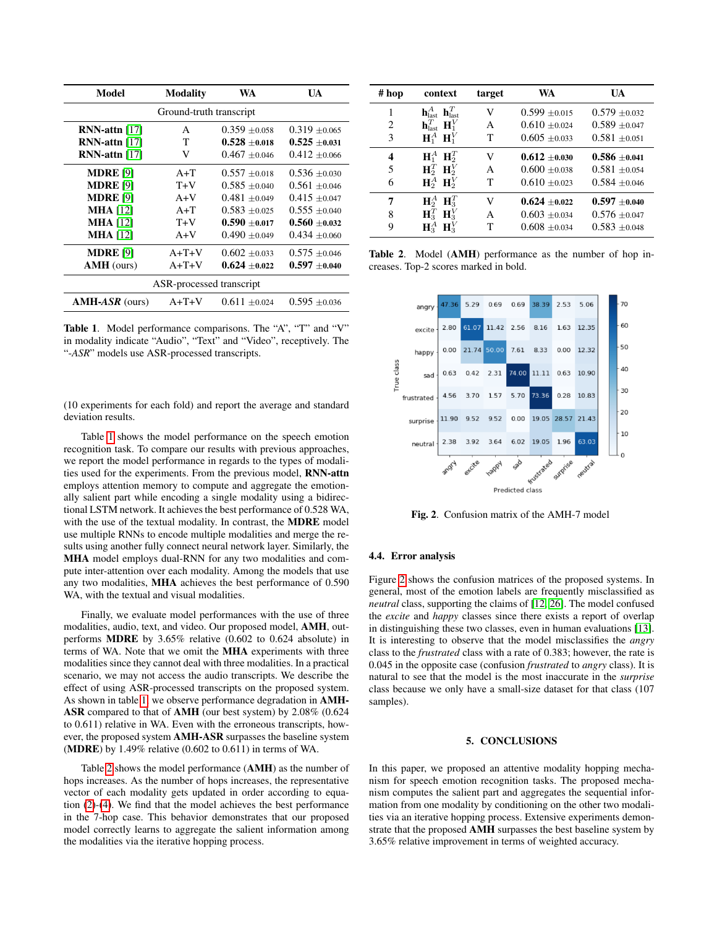| Model                    | <b>Modality</b> | WA                | UA                |  |  |
|--------------------------|-----------------|-------------------|-------------------|--|--|
| Ground-truth transcript  |                 |                   |                   |  |  |
| $RNN$ -attn [17]         | A               | $0.359 \pm 0.058$ | $0.319 \pm 0.065$ |  |  |
| $RNN$ -attn [17]         | T               | $0.528 + 0.018$   | $0.525 \pm 0.031$ |  |  |
| $RNN$ -attn $[17]$       | V               | $0.467 + 0.046$   | $0.412 \pm 0.066$ |  |  |
| <b>MDRE</b> [9]          | $A+T$           | $0.557 + 0.018$   | $0.536 \pm 0.030$ |  |  |
| <b>MDRE</b> [9]          | $T+V$           | $0.585 + 0.040$   | $0.561 + 0.046$   |  |  |
| <b>MDRE</b> [9]          | $A+V$           | $0.481 + 0.049$   | $0.415 \pm 0.047$ |  |  |
| <b>MHA</b> [12]          | $A+T$           | $0.583 + 0.025$   | $0.555 \pm 0.040$ |  |  |
| <b>MHA</b> [12]          | $T+V$           | $0.590 \pm 0.017$ | $0.560 + 0.032$   |  |  |
| <b>MHA</b> [12]          | $A+V$           | $0.490 + 0.049$   | $0.434 + 0.060$   |  |  |
| <b>MDRE</b> [9]          | $A+T+V$         | $0.602 \pm 0.033$ | $0.575 \pm 0.046$ |  |  |
| <b>AMH</b> (ours)        | $A+T+V$         | $0.624 + 0.022$   | $0.597 \pm 0.040$ |  |  |
| ASR-processed transcript |                 |                   |                   |  |  |
| $AMH-ASR$ (ours)         | A+T+V           | $0.611 \pm 0.024$ | $0.595 \pm 0.036$ |  |  |

<span id="page-3-0"></span>Table 1. Model performance comparisons. The "A", "T" and "V" in modality indicate "Audio", "Text" and "Video", receptively. The "-*ASR*" models use ASR-processed transcripts.

(10 experiments for each fold) and report the average and standard deviation results.

Table [1](#page-3-0) shows the model performance on the speech emotion recognition task. To compare our results with previous approaches, we report the model performance in regards to the types of modalities used for the experiments. From the previous model, RNN-attn employs attention memory to compute and aggregate the emotionally salient part while encoding a single modality using a bidirectional LSTM network. It achieves the best performance of 0.528 WA, with the use of the textual modality. In contrast, the MDRE model use multiple RNNs to encode multiple modalities and merge the results using another fully connect neural network layer. Similarly, the MHA model employs dual-RNN for any two modalities and compute inter-attention over each modality. Among the models that use any two modalities, MHA achieves the best performance of 0.590 WA, with the textual and visual modalities.

Finally, we evaluate model performances with the use of three modalities, audio, text, and video. Our proposed model, AMH, outperforms MDRE by 3.65% relative (0.602 to 0.624 absolute) in terms of WA. Note that we omit the MHA experiments with three modalities since they cannot deal with three modalities. In a practical scenario, we may not access the audio transcripts. We describe the effect of using ASR-processed transcripts on the proposed system. As shown in table [1,](#page-3-0) we observe performance degradation in AMH-ASR compared to that of AMH (our best system) by 2.08% (0.624 to 0.611) relative in WA. Even with the erroneous transcripts, however, the proposed system AMH-ASR surpasses the baseline system (MDRE) by 1.49% relative (0.602 to 0.611) in terms of WA.

Table [2](#page-3-1) shows the model performance (AMH) as the number of hops increases. As the number of hops increases, the representative vector of each modality gets updated in order according to equation [\(2\)](#page-1-1)-[\(4\)](#page-1-3). We find that the model achieves the best performance in the 7-hop case. This behavior demonstrates that our proposed model correctly learns to aggregate the salient information among the modalities via the iterative hopping process.

| # hop | context                                                   | target | WA                | UA                |
|-------|-----------------------------------------------------------|--------|-------------------|-------------------|
| 1     | $\mathbf{h}_{\text{last}}^A$ $\mathbf{h}_{\text{last}}^T$ | V      | $0.599 \pm 0.015$ | $0.579 \pm 0.032$ |
| 2     | $\mathbf{h}_{\text{last}}^T$ $\mathbf{H}_1^V$             | A      | $0.610 + 0.024$   | $0.589 \pm 0.047$ |
| 3     | $H_1^A$ $H_1^V$                                           | т      | $0.605 \pm 0.033$ | $0.581 \pm 0.051$ |
| 4     | $H_1^A$ $H_2^T$                                           | V      | $0.612 + 0.030$   | $0.586 + 0.041$   |
| 5     | $\mathbf{H}_2^T$ $\mathbf{H}_2^V$                         | A      | $0.600 + 0.038$   | $0.581 + 0.054$   |
| 6     | $H_2^A$ $H_2^V$                                           | Т      | $0.610 \pm 0.023$ | $0.584 \pm 0.046$ |
| 7     | $H_2^A$ $H_3^T$                                           | V      | $0.624 \pm 0.022$ | $0.597 \pm 0.040$ |
| 8     | $\mathbf{H}_3^T$ $\mathbf{H}_3^V$                         | A      | $0.603 \pm 0.034$ | $0.576 \pm 0.047$ |
| 9     | $H_3^A$ $H_3^V$                                           | т      | $0.608 \pm 0.034$ | $0.583 \pm 0.048$ |

<span id="page-3-1"></span>Table 2. Model (AMH) performance as the number of hop increases. Top-2 scores marked in bold.



<span id="page-3-2"></span>Fig. 2. Confusion matrix of the AMH-7 model

## 4.4. Error analysis

Figure [2](#page-3-2) shows the confusion matrices of the proposed systems. In general, most of the emotion labels are frequently misclassified as *neutral* class, supporting the claims of [\[12,](#page-4-11) [26\]](#page-5-1). The model confused the *excite* and *happy* classes since there exists a report of overlap in distinguishing these two classes, even in human evaluations [\[13\]](#page-4-12). It is interesting to observe that the model misclassifies the *angry* class to the *frustrated* class with a rate of 0.383; however, the rate is 0.045 in the opposite case (confusion *frustrated* to *angry* class). It is natural to see that the model is the most inaccurate in the *surprise* class because we only have a small-size dataset for that class (107 samples).

## 5. CONCLUSIONS

In this paper, we proposed an attentive modality hopping mechanism for speech emotion recognition tasks. The proposed mechanism computes the salient part and aggregates the sequential information from one modality by conditioning on the other two modalities via an iterative hopping process. Extensive experiments demonstrate that the proposed AMH surpasses the best baseline system by 3.65% relative improvement in terms of weighted accuracy.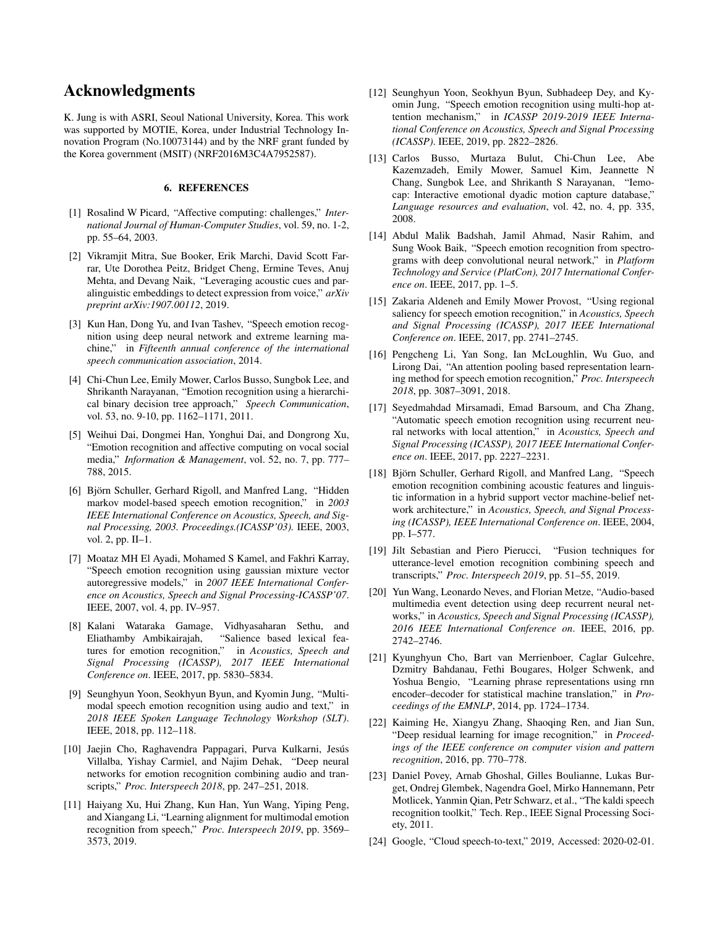# Acknowledgments

K. Jung is with ASRI, Seoul National University, Korea. This work was supported by MOTIE, Korea, under Industrial Technology Innovation Program (No.10073144) and by the NRF grant funded by the Korea government (MSIT) (NRF2016M3C4A7952587).

## 6. REFERENCES

- <span id="page-4-0"></span>[1] Rosalind W Picard, "Affective computing: challenges," *International Journal of Human-Computer Studies*, vol. 59, no. 1-2, pp. 55–64, 2003.
- <span id="page-4-1"></span>[2] Vikramjit Mitra, Sue Booker, Erik Marchi, David Scott Farrar, Ute Dorothea Peitz, Bridget Cheng, Ermine Teves, Anuj Mehta, and Devang Naik, "Leveraging acoustic cues and paralinguistic embeddings to detect expression from voice," *arXiv preprint arXiv:1907.00112*, 2019.
- <span id="page-4-2"></span>[3] Kun Han, Dong Yu, and Ivan Tashev, "Speech emotion recognition using deep neural network and extreme learning machine," in *Fifteenth annual conference of the international speech communication association*, 2014.
- <span id="page-4-3"></span>[4] Chi-Chun Lee, Emily Mower, Carlos Busso, Sungbok Lee, and Shrikanth Narayanan, "Emotion recognition using a hierarchical binary decision tree approach," *Speech Communication*, vol. 53, no. 9-10, pp. 1162–1171, 2011.
- <span id="page-4-4"></span>[5] Weihui Dai, Dongmei Han, Yonghui Dai, and Dongrong Xu, "Emotion recognition and affective computing on vocal social media," *Information & Management*, vol. 52, no. 7, pp. 777– 788, 2015.
- <span id="page-4-5"></span>[6] Björn Schuller, Gerhard Rigoll, and Manfred Lang, "Hidden markov model-based speech emotion recognition," in *2003 IEEE International Conference on Acoustics, Speech, and Signal Processing, 2003. Proceedings.(ICASSP'03).* IEEE, 2003, vol. 2, pp. II–1.
- <span id="page-4-6"></span>[7] Moataz MH El Ayadi, Mohamed S Kamel, and Fakhri Karray, "Speech emotion recognition using gaussian mixture vector autoregressive models," in *2007 IEEE International Conference on Acoustics, Speech and Signal Processing-ICASSP'07*. IEEE, 2007, vol. 4, pp. IV–957.
- <span id="page-4-7"></span>[8] Kalani Wataraka Gamage, Vidhyasaharan Sethu, and Eliathamby Ambikairajah, "Salience based lexical fea-<br>tures for emotion recognition," in Acoustics, Speech and tures for emotion recognition," *Signal Processing (ICASSP), 2017 IEEE International Conference on*. IEEE, 2017, pp. 5830–5834.
- <span id="page-4-8"></span>[9] Seunghyun Yoon, Seokhyun Byun, and Kyomin Jung, "Multimodal speech emotion recognition using audio and text," in *2018 IEEE Spoken Language Technology Workshop (SLT)*. IEEE, 2018, pp. 112–118.
- <span id="page-4-9"></span>[10] Jaejin Cho, Raghavendra Pappagari, Purva Kulkarni, Jesús Villalba, Yishay Carmiel, and Najim Dehak, "Deep neural networks for emotion recognition combining audio and transcripts," *Proc. Interspeech 2018*, pp. 247–251, 2018.
- <span id="page-4-10"></span>[11] Haiyang Xu, Hui Zhang, Kun Han, Yun Wang, Yiping Peng, and Xiangang Li, "Learning alignment for multimodal emotion recognition from speech," *Proc. Interspeech 2019*, pp. 3569– 3573, 2019.
- <span id="page-4-11"></span>[12] Seunghyun Yoon, Seokhyun Byun, Subhadeep Dey, and Kyomin Jung, "Speech emotion recognition using multi-hop attention mechanism," in *ICASSP 2019-2019 IEEE International Conference on Acoustics, Speech and Signal Processing (ICASSP)*. IEEE, 2019, pp. 2822–2826.
- <span id="page-4-12"></span>[13] Carlos Busso, Murtaza Bulut, Chi-Chun Lee, Abe Kazemzadeh, Emily Mower, Samuel Kim, Jeannette N Chang, Sungbok Lee, and Shrikanth S Narayanan, "Iemocap: Interactive emotional dyadic motion capture database," *Language resources and evaluation*, vol. 42, no. 4, pp. 335, 2008.
- <span id="page-4-13"></span>[14] Abdul Malik Badshah, Jamil Ahmad, Nasir Rahim, and Sung Wook Baik, "Speech emotion recognition from spectrograms with deep convolutional neural network," in *Platform Technology and Service (PlatCon), 2017 International Conference on*. IEEE, 2017, pp. 1–5.
- <span id="page-4-14"></span>[15] Zakaria Aldeneh and Emily Mower Provost, "Using regional saliency for speech emotion recognition," in *Acoustics, Speech and Signal Processing (ICASSP), 2017 IEEE International Conference on*. IEEE, 2017, pp. 2741–2745.
- <span id="page-4-15"></span>[16] Pengcheng Li, Yan Song, Ian McLoughlin, Wu Guo, and Lirong Dai, "An attention pooling based representation learning method for speech emotion recognition," *Proc. Interspeech 2018*, pp. 3087–3091, 2018.
- <span id="page-4-16"></span>[17] Seyedmahdad Mirsamadi, Emad Barsoum, and Cha Zhang, "Automatic speech emotion recognition using recurrent neural networks with local attention," in *Acoustics, Speech and Signal Processing (ICASSP), 2017 IEEE International Conference on*. IEEE, 2017, pp. 2227–2231.
- <span id="page-4-17"></span>[18] Björn Schuller, Gerhard Rigoll, and Manfred Lang, "Speech" emotion recognition combining acoustic features and linguistic information in a hybrid support vector machine-belief network architecture," in *Acoustics, Speech, and Signal Processing (ICASSP), IEEE International Conference on*. IEEE, 2004, pp. I–577.
- <span id="page-4-18"></span>[19] Jilt Sebastian and Piero Pierucci, "Fusion techniques for utterance-level emotion recognition combining speech and transcripts," *Proc. Interspeech 2019*, pp. 51–55, 2019.
- <span id="page-4-19"></span>[20] Yun Wang, Leonardo Neves, and Florian Metze, "Audio-based multimedia event detection using deep recurrent neural networks," in *Acoustics, Speech and Signal Processing (ICASSP), 2016 IEEE International Conference on*. IEEE, 2016, pp. 2742–2746.
- <span id="page-4-20"></span>[21] Kyunghyun Cho, Bart van Merrienboer, Caglar Gulcehre, Dzmitry Bahdanau, Fethi Bougares, Holger Schwenk, and Yoshua Bengio, "Learning phrase representations using rnn encoder–decoder for statistical machine translation," in *Proceedings of the EMNLP*, 2014, pp. 1724–1734.
- <span id="page-4-21"></span>[22] Kaiming He, Xiangyu Zhang, Shaoqing Ren, and Jian Sun, "Deep residual learning for image recognition," in *Proceedings of the IEEE conference on computer vision and pattern recognition*, 2016, pp. 770–778.
- <span id="page-4-22"></span>[23] Daniel Povey, Arnab Ghoshal, Gilles Boulianne, Lukas Burget, Ondrej Glembek, Nagendra Goel, Mirko Hannemann, Petr Motlicek, Yanmin Qian, Petr Schwarz, et al., "The kaldi speech recognition toolkit," Tech. Rep., IEEE Signal Processing Society, 2011.
- <span id="page-4-23"></span>[24] Google, "Cloud speech-to-text," 2019, Accessed: 2020-02-01.